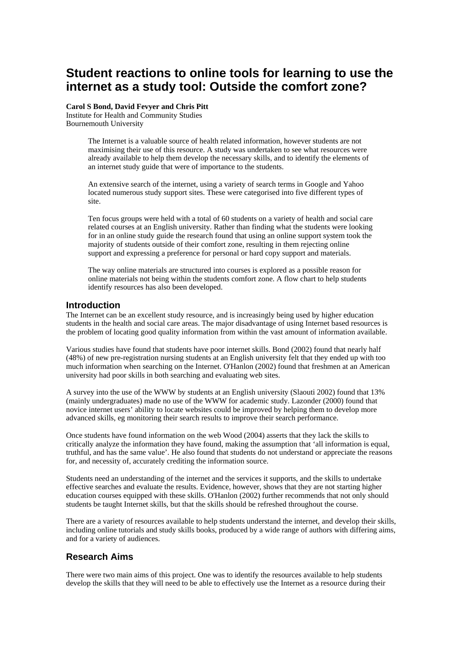# **Student reactions to online tools for learning to use the internet as a study tool: Outside the comfort zone?**

**Carol S Bond, David Fevyer and Chris Pitt**  Institute for Health and Community Studies Bournemouth University

> The Internet is a valuable source of health related information, however students are not maximising their use of this resource. A study was undertaken to see what resources were already available to help them develop the necessary skills, and to identify the elements of an internet study guide that were of importance to the students.

An extensive search of the internet, using a variety of search terms in Google and Yahoo located numerous study support sites. These were categorised into five different types of site.

Ten focus groups were held with a total of 60 students on a variety of health and social care related courses at an English university. Rather than finding what the students were looking for in an online study guide the research found that using an online support system took the majority of students outside of their comfort zone, resulting in them rejecting online support and expressing a preference for personal or hard copy support and materials.

The way online materials are structured into courses is explored as a possible reason for online materials not being within the students comfort zone. A flow chart to help students identify resources has also been developed.

### **Introduction**

The Internet can be an excellent study resource, and is increasingly being used by higher education students in the health and social care areas. The major disadvantage of using Internet based resources is the problem of locating good quality information from within the vast amount of information available.

Various studies have found that students have poor internet skills. Bond (2002) found that nearly half (48%) of new pre-registration nursing students at an English university felt that they ended up with too much information when searching on the Internet. O'Hanlon (2002) found that freshmen at an American university had poor skills in both searching and evaluating web sites.

A survey into the use of the WWW by students at an English university (Slaouti 2002) found that 13% (mainly undergraduates) made no use of the WWW for academic study. Lazonder (2000) found that novice internet users' ability to locate websites could be improved by helping them to develop more advanced skills, eg monitoring their search results to improve their search performance.

Once students have found information on the web Wood (2004) asserts that they lack the skills to critically analyze the information they have found, making the assumption that 'all information is equal, truthful, and has the same value'. He also found that students do not understand or appreciate the reasons for, and necessity of, accurately crediting the information source.

Students need an understanding of the internet and the services it supports, and the skills to undertake effective searches and evaluate the results. Evidence, however, shows that they are not starting higher education courses equipped with these skills. O'Hanlon (2002) further recommends that not only should students be taught Internet skills, but that the skills should be refreshed throughout the course.

There are a variety of resources available to help students understand the internet, and develop their skills, including online tutorials and study skills books, produced by a wide range of authors with differing aims, and for a variety of audiences.

# **Research Aims**

There were two main aims of this project. One was to identify the resources available to help students develop the skills that they will need to be able to effectively use the Internet as a resource during their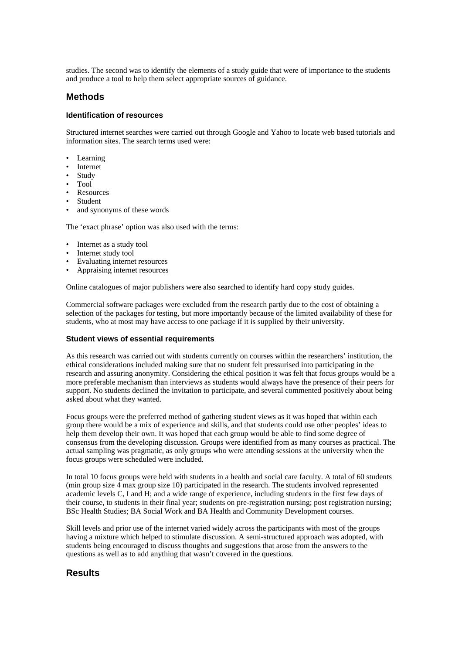studies. The second was to identify the elements of a study guide that were of importance to the students and produce a tool to help them select appropriate sources of guidance.

# **Methods**

#### **Identification of resources**

Structured internet searches were carried out through Google and Yahoo to locate web based tutorials and information sites. The search terms used were:

- Learning
- Internet
- Study
- Tool
- **Resources**
- Student
- and synonyms of these words

The 'exact phrase' option was also used with the terms:

- Internet as a study tool
- Internet study tool
- Evaluating internet resources
- Appraising internet resources

Online catalogues of major publishers were also searched to identify hard copy study guides.

Commercial software packages were excluded from the research partly due to the cost of obtaining a selection of the packages for testing, but more importantly because of the limited availability of these for students, who at most may have access to one package if it is supplied by their university.

#### **Student views of essential requirements**

As this research was carried out with students currently on courses within the researchers' institution, the ethical considerations included making sure that no student felt pressurised into participating in the research and assuring anonymity. Considering the ethical position it was felt that focus groups would be a more preferable mechanism than interviews as students would always have the presence of their peers for support. No students declined the invitation to participate, and several commented positively about being asked about what they wanted.

Focus groups were the preferred method of gathering student views as it was hoped that within each group there would be a mix of experience and skills, and that students could use other peoples' ideas to help them develop their own. It was hoped that each group would be able to find some degree of consensus from the developing discussion. Groups were identified from as many courses as practical. The actual sampling was pragmatic, as only groups who were attending sessions at the university when the focus groups were scheduled were included.

In total 10 focus groups were held with students in a health and social care faculty. A total of 60 students (min group size 4 max group size 10) participated in the research. The students involved represented academic levels C, I and H; and a wide range of experience, including students in the first few days of their course, to students in their final year; students on pre-registration nursing; post registration nursing; BSc Health Studies; BA Social Work and BA Health and Community Development courses.

Skill levels and prior use of the internet varied widely across the participants with most of the groups having a mixture which helped to stimulate discussion. A semi-structured approach was adopted, with students being encouraged to discuss thoughts and suggestions that arose from the answers to the questions as well as to add anything that wasn't covered in the questions.

# **Results**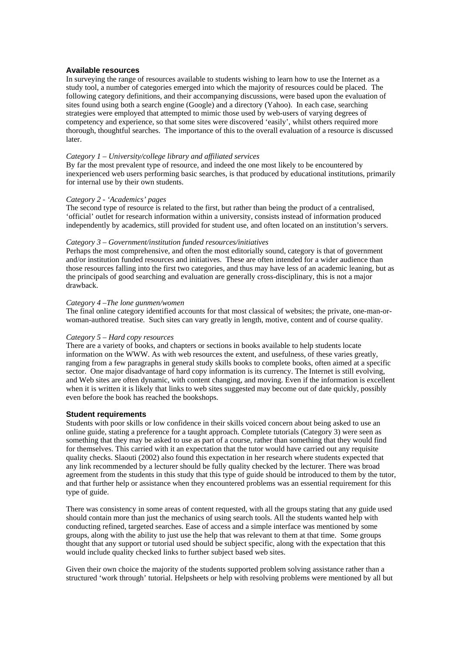#### **Available resources**

In surveying the range of resources available to students wishing to learn how to use the Internet as a study tool, a number of categories emerged into which the majority of resources could be placed. The following category definitions, and their accompanying discussions, were based upon the evaluation of sites found using both a search engine (Google) and a directory (Yahoo). In each case, searching strategies were employed that attempted to mimic those used by web-users of varying degrees of competency and experience, so that some sites were discovered 'easily', whilst others required more thorough, thoughtful searches. The importance of this to the overall evaluation of a resource is discussed later.

#### *Category 1 – University/college library and affiliated services*

By far the most prevalent type of resource, and indeed the one most likely to be encountered by inexperienced web users performing basic searches, is that produced by educational institutions, primarily for internal use by their own students.

#### *Category 2 - 'Academics' pages*

The second type of resource is related to the first, but rather than being the product of a centralised, 'official' outlet for research information within a university, consists instead of information produced independently by academics, still provided for student use, and often located on an institution's servers.

#### *Category 3 – Government/institution funded resources/initiatives*

Perhaps the most comprehensive, and often the most editorially sound, category is that of government and/or institution funded resources and initiatives. These are often intended for a wider audience than those resources falling into the first two categories, and thus may have less of an academic leaning, but as the principals of good searching and evaluation are generally cross-disciplinary, this is not a major drawback.

#### *Category 4 –The lone gunmen/women*

The final online category identified accounts for that most classical of websites; the private, one-man-orwoman-authored treatise. Such sites can vary greatly in length, motive, content and of course quality.

#### *Category 5 – Hard copy resources*

There are a variety of books, and chapters or sections in books available to help students locate information on the WWW. As with web resources the extent, and usefulness, of these varies greatly, ranging from a few paragraphs in general study skills books to complete books, often aimed at a specific sector. One major disadvantage of hard copy information is its currency. The Internet is still evolving, and Web sites are often dynamic, with content changing, and moving. Even if the information is excellent when it is written it is likely that links to web sites suggested may become out of date quickly, possibly even before the book has reached the bookshops.

#### **Student requirements**

Students with poor skills or low confidence in their skills voiced concern about being asked to use an online guide, stating a preference for a taught approach. Complete tutorials (Category 3) were seen as something that they may be asked to use as part of a course, rather than something that they would find for themselves. This carried with it an expectation that the tutor would have carried out any requisite quality checks. Slaouti (2002) also found this expectation in her research where students expected that any link recommended by a lecturer should be fully quality checked by the lecturer. There was broad agreement from the students in this study that this type of guide should be introduced to them by the tutor, and that further help or assistance when they encountered problems was an essential requirement for this type of guide.

There was consistency in some areas of content requested, with all the groups stating that any guide used should contain more than just the mechanics of using search tools. All the students wanted help with conducting refined, targeted searches. Ease of access and a simple interface was mentioned by some groups, along with the ability to just use the help that was relevant to them at that time. Some groups thought that any support or tutorial used should be subject specific, along with the expectation that this would include quality checked links to further subject based web sites.

Given their own choice the majority of the students supported problem solving assistance rather than a structured 'work through' tutorial. Helpsheets or help with resolving problems were mentioned by all but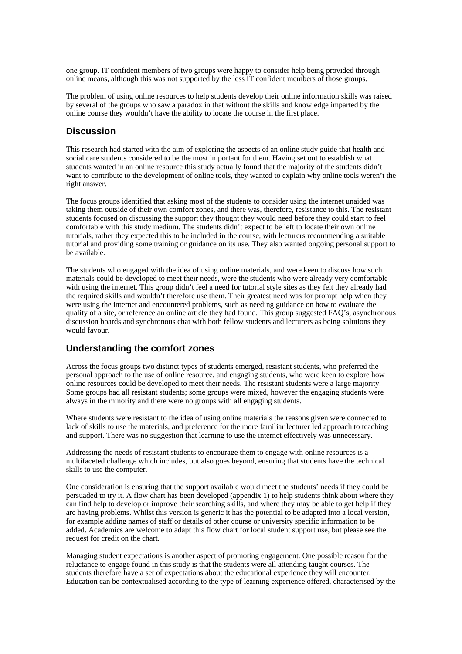one group. IT confident members of two groups were happy to consider help being provided through online means, although this was not supported by the less IT confident members of those groups.

The problem of using online resources to help students develop their online information skills was raised by several of the groups who saw a paradox in that without the skills and knowledge imparted by the online course they wouldn't have the ability to locate the course in the first place.

# **Discussion**

This research had started with the aim of exploring the aspects of an online study guide that health and social care students considered to be the most important for them. Having set out to establish what students wanted in an online resource this study actually found that the majority of the students didn't want to contribute to the development of online tools, they wanted to explain why online tools weren't the right answer.

The focus groups identified that asking most of the students to consider using the internet unaided was taking them outside of their own comfort zones, and there was, therefore, resistance to this. The resistant students focused on discussing the support they thought they would need before they could start to feel comfortable with this study medium. The students didn't expect to be left to locate their own online tutorials, rather they expected this to be included in the course, with lecturers recommending a suitable tutorial and providing some training or guidance on its use. They also wanted ongoing personal support to be available.

The students who engaged with the idea of using online materials, and were keen to discuss how such materials could be developed to meet their needs, were the students who were already very comfortable with using the internet. This group didn't feel a need for tutorial style sites as they felt they already had the required skills and wouldn't therefore use them. Their greatest need was for prompt help when they were using the internet and encountered problems, such as needing guidance on how to evaluate the quality of a site, or reference an online article they had found. This group suggested FAQ's, asynchronous discussion boards and synchronous chat with both fellow students and lecturers as being solutions they would favour.

# **Understanding the comfort zones**

Across the focus groups two distinct types of students emerged, resistant students, who preferred the personal approach to the use of online resource, and engaging students, who were keen to explore how online resources could be developed to meet their needs. The resistant students were a large majority. Some groups had all resistant students; some groups were mixed, however the engaging students were always in the minority and there were no groups with all engaging students.

Where students were resistant to the idea of using online materials the reasons given were connected to lack of skills to use the materials, and preference for the more familiar lecturer led approach to teaching and support. There was no suggestion that learning to use the internet effectively was unnecessary.

Addressing the needs of resistant students to encourage them to engage with online resources is a multifaceted challenge which includes, but also goes beyond, ensuring that students have the technical skills to use the computer.

One consideration is ensuring that the support available would meet the students' needs if they could be persuaded to try it. A flow chart has been developed (appendix 1) to help students think about where they can find help to develop or improve their searching skills, and where they may be able to get help if they are having problems. Whilst this version is generic it has the potential to be adapted into a local version, for example adding names of staff or details of other course or university specific information to be added. Academics are welcome to adapt this flow chart for local student support use, but please see the request for credit on the chart.

Managing student expectations is another aspect of promoting engagement. One possible reason for the reluctance to engage found in this study is that the students were all attending taught courses. The students therefore have a set of expectations about the educational experience they will encounter. Education can be contextualised according to the type of learning experience offered, characterised by the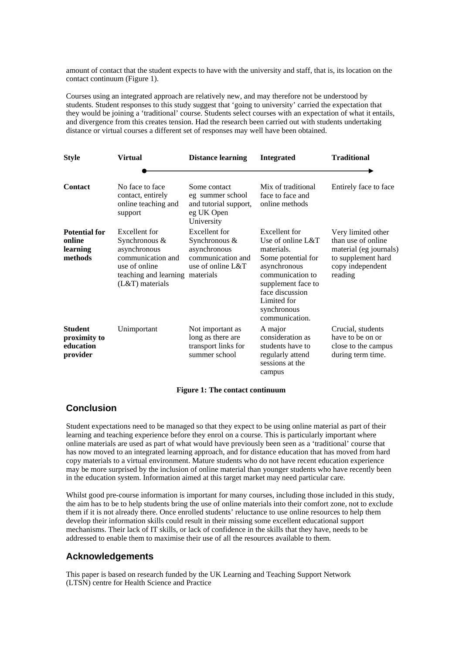amount of contact that the student expects to have with the university and staff, that is, its location on the contact continuum (Figure 1).

Courses using an integrated approach are relatively new, and may therefore not be understood by students. Student responses to this study suggest that 'going to university' carried the expectation that they would be joining a 'traditional' course. Students select courses with an expectation of what it entails, and divergence from this creates tension. Had the research been carried out with students undertaking distance or virtual courses a different set of responses may well have been obtained.

| <b>Style</b>                                            | <b>Virtual</b>                                                                                                                               | <b>Distance learning</b>                                                                     | <b>Integrated</b>                                                                                                                                                                                   | <b>Traditional</b>                                                                                                      |
|---------------------------------------------------------|----------------------------------------------------------------------------------------------------------------------------------------------|----------------------------------------------------------------------------------------------|-----------------------------------------------------------------------------------------------------------------------------------------------------------------------------------------------------|-------------------------------------------------------------------------------------------------------------------------|
|                                                         |                                                                                                                                              |                                                                                              |                                                                                                                                                                                                     |                                                                                                                         |
| <b>Contact</b>                                          | No face to face<br>contact, entirely<br>online teaching and<br>support                                                                       | Some contact<br>eg summer school<br>and tutorial support,<br>eg UK Open<br>University        | Mix of traditional<br>face to face and<br>online methods                                                                                                                                            | Entirely face to face                                                                                                   |
| <b>Potential for</b><br>online<br>learning<br>methods   | Excellent for<br>Synchronous &<br>asynchronous<br>communication and<br>use of online<br>teaching and learning materials<br>$(L&T)$ materials | Excellent for<br>Synchronous $&$<br>asynchronous<br>communication and<br>use of online $L&T$ | Excellent for<br>Use of online L&T<br>materials.<br>Some potential for<br>asynchronous<br>communication to<br>supplement face to<br>face discussion<br>Limited for<br>synchronous<br>communication. | Very limited other<br>than use of online<br>material (eg journals)<br>to supplement hard<br>copy independent<br>reading |
| <b>Student</b><br>proximity to<br>education<br>provider | Unimportant                                                                                                                                  | Not important as<br>long as there are<br>transport links for<br>summer school                | A major<br>consideration as<br>students have to<br>regularly attend<br>sessions at the<br>campus                                                                                                    | Crucial, students<br>have to be on or<br>close to the campus<br>during term time.                                       |

#### **Figure 1: The contact continuum**

## **Conclusion**

Student expectations need to be managed so that they expect to be using online material as part of their learning and teaching experience before they enrol on a course. This is particularly important where online materials are used as part of what would have previously been seen as a 'traditional' course that has now moved to an integrated learning approach, and for distance education that has moved from hard copy materials to a virtual environment. Mature students who do not have recent education experience may be more surprised by the inclusion of online material than younger students who have recently been in the education system. Information aimed at this target market may need particular care.

Whilst good pre-course information is important for many courses, including those included in this study, the aim has to be to help students bring the use of online materials into their comfort zone, not to exclude them if it is not already there. Once enrolled students' reluctance to use online resources to help them develop their information skills could result in their missing some excellent educational support mechanisms. Their lack of IT skills, or lack of confidence in the skills that they have, needs to be addressed to enable them to maximise their use of all the resources available to them.

# **Acknowledgements**

This paper is based on research funded by the UK Learning and Teaching Support Network (LTSN) centre for Health Science and Practice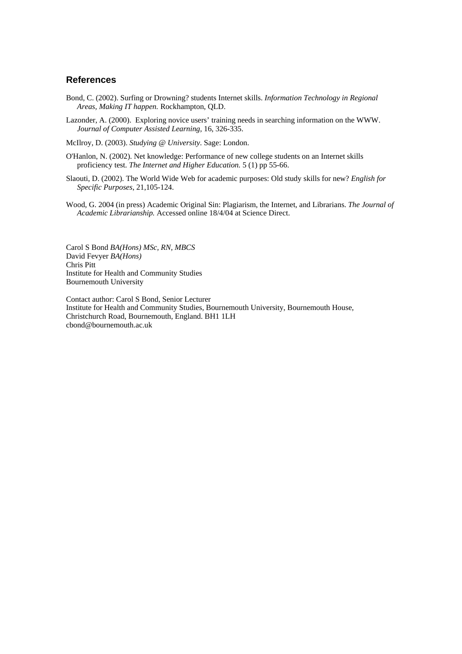# **References**

- Bond, C. (2002). Surfing or Drowning? students Internet skills. *Information Technology in Regional Areas, Making IT happen.* Rockhampton, QLD.
- Lazonder, A. (2000). Exploring novice users' training needs in searching information on the WWW. *Journal of Computer Assisted Learning,* 16, 326-335.
- McIlroy, D. (2003). *Studying @ University*. Sage: London.
- O'Hanlon, N. (2002). Net knowledge: Performance of new college students on an Internet skills proficiency test. *The Internet and Higher Education.* 5 (1) pp 55-66.
- Slaouti, D. (2002). The World Wide Web for academic purposes: Old study skills for new? *English for Specific Purposes*, 21,105-124.
- Wood, G. 2004 (in press) Academic Original Sin: Plagiarism, the Internet, and Librarians. *The Journal of Academic Librarianship.* Accessed online 18/4/04 at Science Direct.

Carol S Bond *BA(Hons) MSc, RN, MBCS* David Fevyer *BA(Hons)* Chris Pitt Institute for Health and Community Studies Bournemouth University

Contact author: Carol S Bond, Senior Lecturer Institute for Health and Community Studies, Bournemouth University, Bournemouth House, Christchurch Road, Bournemouth, England. BH1 1LH cbond@bournemouth.ac.uk